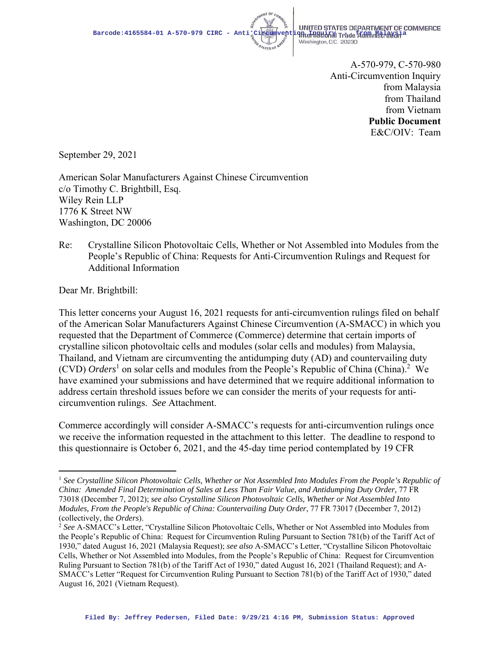

Washington, D.C. 20230

A-570-979, C-570-980 Anti-Circumvention Inquiry from Malaysia from Thailand from Vietnam **Public Document**  E&C/OIV: Team

September 29, 2021

American Solar Manufacturers Against Chinese Circumvention c/o Timothy C. Brightbill, Esq. Wiley Rein LLP 1776 K Street NW Washington, DC 20006

Re: Crystalline Silicon Photovoltaic Cells, Whether or Not Assembled into Modules from the People's Republic of China: Requests for Anti-Circumvention Rulings and Request for Additional Information

Dear Mr. Brightbill:

This letter concerns your August 16, 2021 requests for anti-circumvention rulings filed on behalf of the American Solar Manufacturers Against Chinese Circumvention (A-SMACC) in which you requested that the Department of Commerce (Commerce) determine that certain imports of crystalline silicon photovoltaic cells and modules (solar cells and modules) from Malaysia, Thailand, and Vietnam are circumventing the antidumping duty (AD) and countervailing duty (CVD) *Orders*<sup>1</sup> on solar cells and modules from the People's Republic of China (China).<sup>2</sup> We have examined your submissions and have determined that we require additional information to address certain threshold issues before we can consider the merits of your requests for anticircumvention rulings. *See* Attachment.

Commerce accordingly will consider A-SMACC's requests for anti-circumvention rulings once we receive the information requested in the attachment to this letter. The deadline to respond to this questionnaire is October 6, 2021, and the 45-day time period contemplated by 19 CFR

<sup>1</sup> *See Crystalline Silicon Photovoltaic Cells, Whether or Not Assembled Into Modules From the People's Republic of China: Amended Final Determination of Sales at Less Than Fair Value, and Antidumping Duty Order,* 77 FR 73018 (December 7, 2012); *see also Crystalline Silicon Photovoltaic Cells, Whether or Not Assembled Into Modules, From the People's Republic of China: Countervailing Duty Order*, 77 FR 73017 (December 7, 2012) (collectively, the *Orders*). 2 *See* A-SMACC's Letter, "Crystalline Silicon Photovoltaic Cells, Whether or Not Assembled into Modules from

the People's Republic of China: Request for Circumvention Ruling Pursuant to Section 781(b) of the Tariff Act of 1930," dated August 16, 2021 (Malaysia Request); *see also* A-SMACC's Letter, "Crystalline Silicon Photovoltaic Cells, Whether or Not Assembled into Modules, from the People's Republic of China: Request for Circumvention Ruling Pursuant to Section 781(b) of the Tariff Act of 1930," dated August 16, 2021 (Thailand Request); and A-SMACC's Letter "Request for Circumvention Ruling Pursuant to Section 781(b) of the Tariff Act of 1930," dated August 16, 2021 (Vietnam Request).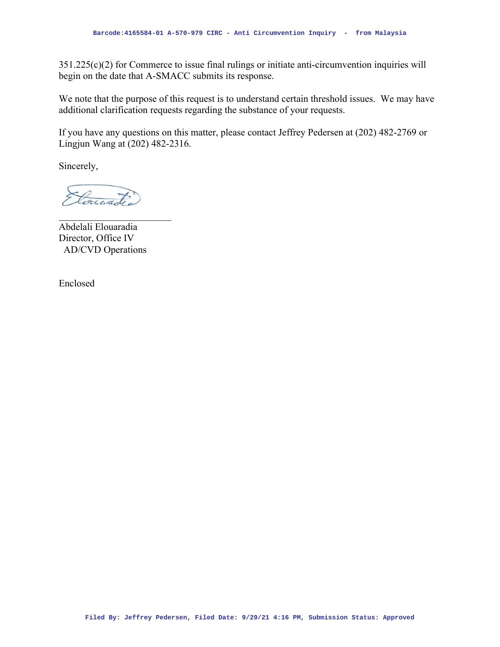351.225(c)(2) for Commerce to issue final rulings or initiate anti-circumvention inquiries will begin on the date that A-SMACC submits its response.

We note that the purpose of this request is to understand certain threshold issues. We may have additional clarification requests regarding the substance of your requests.

If you have any questions on this matter, please contact Jeffrey Pedersen at (202) 482-2769 or Lingjun Wang at (202) 482-2316.

Sincerely,

Conerado

Abdelali Elouaradia Director, Office IV AD/CVD Operations

Enclosed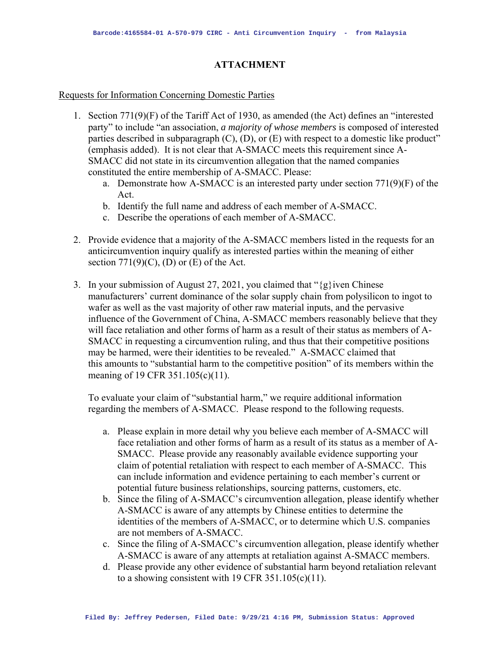## **ATTACHMENT**

## Requests for Information Concerning Domestic Parties

- 1. Section 771(9)(F) of the Tariff Act of 1930, as amended (the Act) defines an "interested party" to include "an association, *a majority of whose members* is composed of interested parties described in subparagraph (C), (D), or (E) with respect to a domestic like product" (emphasis added). It is not clear that A-SMACC meets this requirement since A-SMACC did not state in its circumvention allegation that the named companies constituted the entire membership of A-SMACC. Please:
	- a. Demonstrate how A-SMACC is an interested party under section 771(9)(F) of the Act.
	- b. Identify the full name and address of each member of A-SMACC.
	- c. Describe the operations of each member of A-SMACC.
- 2. Provide evidence that a majority of the A-SMACC members listed in the requests for an anticircumvention inquiry qualify as interested parties within the meaning of either section  $771(9)(C)$ , (D) or (E) of the Act.
- 3. In your submission of August 27, 2021, you claimed that " $\{g\}$  iven Chinese" manufacturers' current dominance of the solar supply chain from polysilicon to ingot to wafer as well as the vast majority of other raw material inputs, and the pervasive influence of the Government of China, A-SMACC members reasonably believe that they will face retaliation and other forms of harm as a result of their status as members of A-SMACC in requesting a circumvention ruling, and thus that their competitive positions may be harmed, were their identities to be revealed." A-SMACC claimed that this amounts to "substantial harm to the competitive position" of its members within the meaning of 19 CFR 351.105(c)(11).

To evaluate your claim of "substantial harm," we require additional information regarding the members of A-SMACC. Please respond to the following requests.

- a. Please explain in more detail why you believe each member of A-SMACC will face retaliation and other forms of harm as a result of its status as a member of A-SMACC. Please provide any reasonably available evidence supporting your claim of potential retaliation with respect to each member of A-SMACC. This can include information and evidence pertaining to each member's current or potential future business relationships, sourcing patterns, customers, etc.
- b. Since the filing of A-SMACC's circumvention allegation, please identify whether A-SMACC is aware of any attempts by Chinese entities to determine the identities of the members of A-SMACC, or to determine which U.S. companies are not members of A-SMACC.
- c. Since the filing of A-SMACC's circumvention allegation, please identify whether A-SMACC is aware of any attempts at retaliation against A-SMACC members.
- d. Please provide any other evidence of substantial harm beyond retaliation relevant to a showing consistent with 19 CFR  $351.105(c)(11)$ .